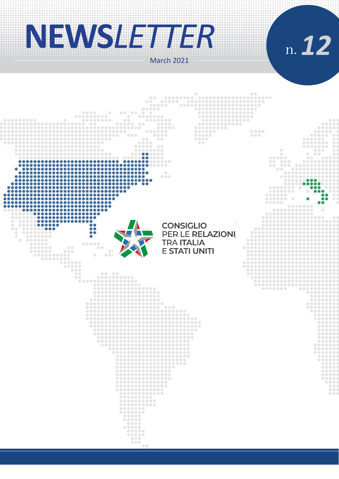# **NEWS***LETTER*

n.*12*March 2021  $0000$ 

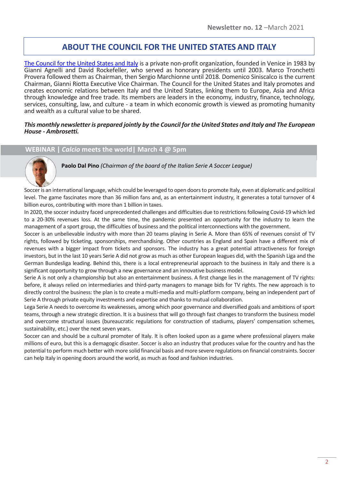## **ABOUT THE COUNCIL FOR THE UNITED STATES AND ITALY**

[The Council for the United States and Italy](https://consiusa.org/en/home_en/) is a private non-profit organization, founded in Venice in 1983 by Gianni Agnelli and David Rockefeller, who served as honorary presidents until 2003. Marco Tronchetti Provera followed them as Chairman, then Sergio Marchionne until 2018. Domenico Siniscalco is the current Chairman, Gianni Riotta Executive Vice Chairman. The Council for the United States and Italy promotes and creates economic relations between Italy and the United States, linking them to Europe, Asia and Africa through knowledge and free trade. Its members are leaders in the economy, industry, finance, technology, services, consulting, law, and culture - a team in which economic growth is viewed as promoting humanity and wealth as a cultural value to be shared.

#### *This monthly newsletter is prepared jointly by the Council for the United States and Italy and The European House - Ambrosetti.*

## **WEBINAR |** *Calcio* **meets the world| March 4 @ 5pm**



**Paolo Dal Pino** *(Chairman of the board of the Italian Serie A Soccer League)*

Soccer is an international language, which could be leveraged to open doors to promote Italy, even at diplomatic and political level. The game fascinates more than 36 million fans and, as an entertainment industry, it generates a total turnover of 4 billion euros, contributing with more than 1 billion in taxes.

In 2020, the soccer industry faced unprecedented challenges and difficulties due to restrictions following Covid-19 which led to a 20-30% revenues loss. At the same time, the pandemic presented an opportunity for the industry to learn the management of a sport group, the difficulties of business and the political interconnections with the government.

Soccer is an unbelievable industry with more than 20 teams playing in Serie A. More than 65% of revenues consist of TV rights, followed by ticketing, sponsorships, merchandising. Other countries as England and Spain have a different mix of revenues with a bigger impact from tickets and sponsors. The industry has a great potential attractiveness for foreign investors, but in the last 10 years Serie A did not grow as much as other European leagues did, with the Spanish Liga and the German Bundesliga leading. Behind this, there is a local entrepreneurial approach to the business in Italy and there is a significant opportunity to grow through a new governance and an innovative business model.

Serie A is not only a championship but also an entertainment business. A first change lies in the management of TV rights: before, it always relied on intermediaries and third-party managers to manage bids for TV rights. The new approach is to directly control the business: the plan is to create a multi-media and multi-platform company, being an independent part of Serie A through private equity investments and expertise and thanks to mutual collaboration.

Lega Serie A needs to overcome its weaknesses, among which poor governance and diversified goals and ambitions of sport teams, through a new strategic direction. It is a business that will go through fast changes to transform the business model and overcome structural issues (bureaucratic regulations for construction of stadiums, players' compensation schemes, sustainability, etc.) over the next seven years.

Soccer can and should be a cultural promoter of Italy. It is often looked upon as a game where professional players make millions of euro, but this is a demagogic disaster. Soccer is also an industry that produces value for the country and has the potential to perform much better with more solid financial basis and more severe regulations on financial constraints. Soccer can help Italy in opening doors around the world, as much as food and fashion industries.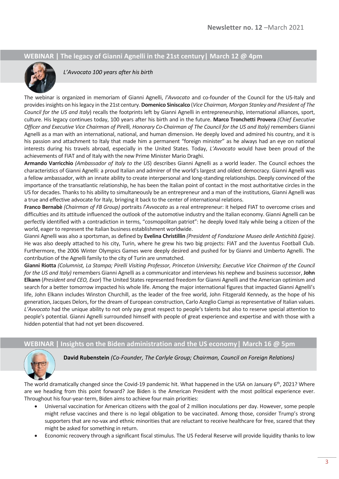## **WEBINAR | The legacy of Gianni Agnelli in the 21st century| March 12 @ 4pm**



*L'Avvocato 100 years after his birth*

The webinar is organized in memoriam of Gianni Agnelli, *l'Avvocato* and co-founder of the Council for the US-Italy and provides insights on his legacy in the 21st century. **Domenico Siniscalco** (*Vice Chairman, Morgan Stanley and President of The Council for the US and Italy*) recalls the footprints left by Gianni Agnelli in entrepreneurship, international alliances, sport, culture. His legacy continues today, 100 years after his birth and in the future. **Marco Tronchetti Provera** *(Chief Executive Officer and Executive Vice Chairman of Pirelli, Honorary Co-Chairman of The Council for the US and Italy)* remembers Gianni Agnelli as a man with an international, national, and human dimension. He deeply loved and admired his country, and it is his passion and attachment to Italy that made him a permanent "foreign minister" as he always had an eye on national interests during his travels abroad, especially in the United States. Today, *L'Avvocato* would have been proud of the achievements of FIAT and of Italy with the new Prime Minister Mario Draghi.

**Armando Varricchio** *(Ambassador of Italy to the US*) describes Gianni Agnelli as a world leader. The Council echoes the characteristics of Gianni Agnelli: a proud Italian and admirer of the world's largest and oldest democracy. Gianni Agnelli was a fellow ambassador, with an innate ability to create interpersonal and long-standing relationships. Deeply convinced of the importance of the transatlantic relationship, he has been the Italian point of contact in the most authoritative circles in the US for decades. Thanks to his ability to simultaneously be an entrepreneur and a man of the institutions, Gianni Agnelli was a true and effective advocate for Italy, bringing it back to the center of international relations.

**Franco Bernabè** *(Chairman of FB Group)* portraits *l'Avvocato* as a real entrepreneur: it helped FIAT to overcome crises and difficulties and its attitude influenced the outlook of the automotive industry and the Italian economy. Gianni Agnelli can be perfectly identified with a contradiction in terms, "cosmopolitan patriot": he deeply loved Italy while being a citizen of the world, eager to represent the Italian business establishment worldwide.

Gianni Agnelli was also a sportsman, as defined by **Evelina Christillin** *(President of Fondazione Museo delle Antichità Egizie)*. He was also deeply attached to his city, Turin, where he grew his two big projects: FIAT and the Juventus Football Club. Furthermore, the 2006 Winter Olympics Games were deeply desired and pushed for by Gianni and Umberto Agnelli. The contribution of the Agnelli family to the city of Turin are unmatched.

**Gianni Riotta** *(Columnist, La Stampa; Pirelli Visiting Professor, Princeton University; Executive Vice Chairman of the Council for the US and Italy)* remembers Gianni Agnelli as a communicator and interviews his nephew and business successor, **John Elkann** (*President and CEO, Exor*) The United States represented freedom for Gianni Agnelli and the American optimism and search for a better tomorrow impacted his whole life. Among the major international figures that impacted Gianni Agnelli's life, John Elkann includes Winston Churchill, as the leader of the free world, John Fitzgerald Kennedy, as the hope of his generation, Jacques Delors, for the dream of European construction, Carlo Azeglio Ciampi as representative of Italian values. *L'Avvocato* had the unique ability to not only pay great respect to people's talents but also to reserve special attention to people's potential. Gianni Agnelli surrounded himself with people of great experience and expertise and with those with a hidden potential that had not yet been discovered.

## **WEBINAR | Insights on the Biden administration and the US economy| March 16 @ 5pm**



**David Rubenstein** *(Co-Founder, The Carlyle Group; Chairman, Council on Foreign Relations)*

The world dramatically changed since the Covid-19 pandemic hit. What happened in the USA on January 6<sup>th</sup>, 2021? Where are we heading from this point forward? Joe Biden is the American President with the most political experience ever. Throughout his four-year-term, Biden aims to achieve four main priorities:

- Universal vaccination for American citizens with the goal of 2 million inoculations per day. However, some people might refuse vaccines and there is no legal obligation to be vaccinated. Among those, consider Trump's strong supporters that are no-vax and ethnic minorities that are reluctant to receive healthcare for free, scared that they might be asked for something in return.
- Economic recovery through a significant fiscal stimulus. The US Federal Reserve will provide liquidity thanks to low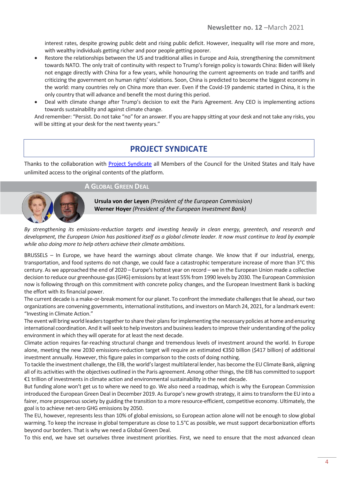interest rates, despite growing public debt and rising public deficit. However, inequality will rise more and more, with wealthy individuals getting richer and poor people getting poorer.

- Restore the relationships between the US and traditional allies in Europe and Asia, strengthening the commitment towards NATO. The only trait of continuity with respect to Trump's foreign policy is towards China: Biden will likely not engage directly with China for a few years, while honouring the current agreements on trade and tariffs and criticizing the government on human rights' violations. Soon, China is predicted to become the biggest economy in the world: many countries rely on China more than ever. Even if the Covid-19 pandemic started in China, it is the only country that will advance and benefit the most during this period.
- Deal with climate change after Trump's decision to exit the Paris Agreement. Any CEO is implementing actions towards sustainability and against climate change.

And remember: "Persist. Do not take "no" for an answer. If you are happy sitting at your desk and not take any risks, you will be sitting at your desk for the next twenty years."

# **PROJECT SYNDICATE**

Thanks to the collaboration with **Project Syndicate** all Members of the Council for the United States and Italy have unlimited access to the original contents of the platform.

## **A GLOBAL GREEN DEAL**



**Ursula von der Leyen** *(President of the European Commission)* **Werner Hoyer** *(President of the European Investment Bank)*

*By strengthening its emissions-reduction targets and investing heavily in clean energy, greentech, and research and development, the European Union has positioned itself as a global climate leader. It now must continue to lead by example while also doing more to help others achieve their climate ambitions.*

BRUSSELS – In Europe, we have heard the warnings about climate change. We know that if our industrial, energy, transportation, and food systems do not change, we could face a catastrophic temperature increase of more than 3°C this century. As we approached the end of 2020 – Europe's hottest year on record – we in the European Union made a collective decision to reduce our greenhouse-gas (GHG) emissions by at least 55% from 1990 levels by 2030. The European Commission now is following through on this commitment with concrete policy changes, and the European Investment Bank is backing the effort with its financial power.

The current decade is a make-or-break moment for our planet. To confront the immediate challenges that lie ahead, our two organizations are convening governments, international institutions, and investors on March 24, 2021, for a landmark event: "Investing in Climate Action."

The event will bring world leaders together to share their plans for implementing the necessary policies at home and ensuring international coordination. And it will seek to help investors and business leaders to improve their understanding of the policy environment in which they will operate for at least the next decade.

Climate action requires far-reaching structural change and tremendous levels of investment around the world. In Europe alone, meeting the new 2030 emissions-reduction target will require an estimated €350 billion (\$417 billion) of additional investment annually. However, this figure pales in comparison to the costs of doing nothing.

To tackle the investment challenge, the EIB, the world's largest multilateral lender, has become the EU Climate Bank, aligning all of its activities with the objectives outlined in the Paris agreement. Among other things, the EIB has committed to support €1 trillion of investments in climate action and environmental sustainability in the next decade.

But funding alone won't get us to where we need to go. We also need a roadmap, which is why the European Commission introduced the European Green Deal in December 2019. As Europe's new growth strategy, it aims to transform the EU into a fairer, more prosperous society by guiding the transition to a more resource-efficient, competitive economy. Ultimately, the goal is to achieve net-zero GHG emissions by 2050.

The EU, however, represents less than 10% of global emissions, so European action alone will not be enough to slow global warming. To keep the increase in global temperature as close to 1.5°C as possible, we must support decarbonization efforts beyond our borders. That is why we need a Global Green Deal.

To this end, we have set ourselves three investment priorities. First, we need to ensure that the most advanced clean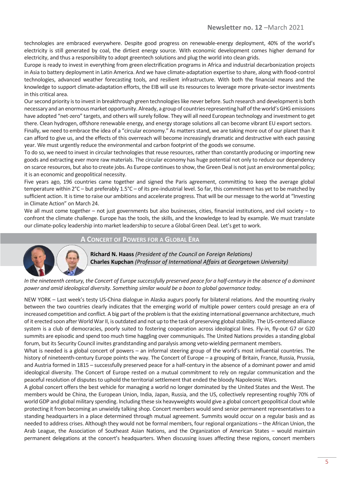technologies are embraced everywhere. Despite good progress on renewable-energy deployment, 40% of the world's electricity is still generated by coal, the dirtiest energy source. With economic development comes higher demand for electricity, and thus a responsibility to adopt greentech solutions and plug the world into clean grids.

Europe is ready to invest in everything from green electrification programs in Africa and industrial decarbonization projects in Asia to battery deployment in Latin America. And we have climate-adaptation expertise to share, along with flood-control technologies, advanced weather forecasting tools, and resilient infrastructure. With both the financial means and the knowledge to support climate-adaptation efforts, the EIB will use its resources to leverage more private-sector investments in this critical area.

Our second priority is to invest in breakthrough green technologies like never before. Such research and development is both necessary and an enormous market opportunity. Already, a group of countries representing half of the world's GHG emissions have adopted "net-zero" targets, and others will surely follow. They will all need European technology and investment to get there. Clean hydrogen, offshore renewable energy, and energy storage solutions all can become vibrant EU export sectors.

Finally, we need to embrace the idea of a "circular economy." As matters stand, we are taking more out of our planet than it can afford to give us, and the effects of this overreach will become increasingly dramatic and destructive with each passing year. We must urgently reduce the environmental and carbon footprint of the goods we consume.

To do so, we need to invest in circular technologies that reuse resources, rather than constantly producing or importing new goods and extracting ever more raw materials. The circular economy has huge potential not only to reduce our dependency on scarce resources, but also to create jobs. As Europe continues to show, the Green Deal is not just an environmental policy; it is an economic and geopolitical necessity.

Five years ago, 196 countries came together and signed the Paris agreement, committing to keep the average global temperature within 2°C – but preferably 1.5°C – of its pre-industrial level. So far, this commitment has yet to be matched by sufficient action. It is time to raise our ambitions and accelerate progress. That will be our message to the world at "Investing in Climate Action" on March 24.

We all must come together – not just governments but also businesses, cities, financial institutions, and civil society – to confront the climate challenge. Europe has the tools, the skills, and the knowledge to lead by example. We must translate our climate-policy leadership into market leadership to secure a Global Green Deal. Let's get to work.

### **A CONCERT OF POWERS FOR A GLOBAL ERA**



**Richard N. Haass** *(President of the Council on Foreign Relations)* **Charles Kupchan** *(Professor of International Affairs at Georgetown University)*

*In the nineteenth century, the Concert of Europe successfully preserved peace for a half-century in the absence of a dominant power and amid ideological diversity. Something similar would be a boon to global governance today.*

NEW YORK – Last week's testy US-China dialogue in Alaska augurs poorly for bilateral relations. And the mounting rivalry between the two countries clearly indicates that the emerging world of multiple power centers could presage an era of increased competition and conflict. A big part of the problem is that the existing international governance architecture, much of it erected soon after World War II, is outdated and not up to the task of preserving global stability. The US-centered alliance system is a club of democracies, poorly suited to fostering cooperation across ideological lines. Fly-in, fly-out G7 or G20 summits are episodic and spend too much time haggling over communiqués. The United Nations provides a standing global forum, but its Security Council invites grandstanding and paralysis among veto-wielding permanent members.

What is needed is a global concert of powers – an informal steering group of the world's most influential countries. The history of nineteenth-century Europe points the way. The Concert of Europe – a grouping of Britain, France, Russia, Prussia, and Austria formed in 1815 – successfully preserved peace for a half-century in the absence of a dominant power and amid ideological diversity. The Concert of Europe rested on a mutual commitment to rely on regular communication and the peaceful resolution of disputes to uphold the territorial settlement that ended the bloody Napoleonic Wars.

A global concert offers the best vehicle for managing a world no longer dominated by the United States and the West. The members would be China, the European Union, India, Japan, Russia, and the US, collectively representing roughly 70% of world GDP and global military spending. Including these six heavyweights would give a global concert geopolitical clout while protecting it from becoming an unwieldy talking shop. Concert members would send senior permanent representatives to a standing headquarters in a place determined through mutual agreement. Summits would occur on a regular basis and as needed to address crises. Although they would not be formal members, four regional organizations – the African Union, the Arab League, the Association of Southeast Asian Nations, and the Organization of American States – would maintain permanent delegations at the concert's headquarters. When discussing issues affecting these regions, concert members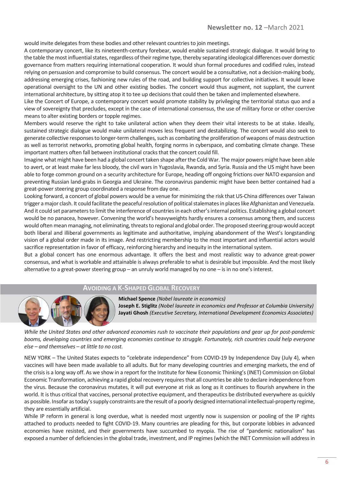would invite delegates from these bodies and other relevant countries to join meetings.

A contemporary concert, like its nineteenth-century forebear, would enable sustained strategic dialogue. It would bring to the table the most influential states, regardless of their regime type, thereby separating ideological differences over domestic governance from matters requiring international cooperation. It would shun formal procedures and codified rules, instead relying on persuasion and compromise to build consensus. The concert would be a consultative, not a decision-making body, addressing emerging crises, fashioning new rules of the road, and building support for collective initiatives. It would leave operational oversight to the UN and other existing bodies. The concert would thus augment, not supplant, the current international architecture, by sitting atop it to tee up decisions that could then be taken and implemented elsewhere.

Like the Concert of Europe, a contemporary concert would promote stability by privileging the territorial status quo and a view of sovereignty that precludes, except in the case of international consensus, the use of military force or other coercive means to alter existing borders or topple regimes.

Members would reserve the right to take unilateral action when they deem their vital interests to be at stake. Ideally, sustained strategic dialogue would make unilateral moves less frequent and destabilizing. The concert would also seek to generate collective responses to longer-term challenges, such as combating the proliferation of weapons of mass destruction as well as terrorist networks, promoting global health, forging norms in cyberspace, and combating climate change. These important matters often fall between institutional cracks that the concert could fill.

Imagine what might have been had a global concert taken shape after the Cold War. The major powers might have been able to avert, or at least make far less bloody, the civil wars in Yugoslavia, Rwanda, and Syria. Russia and the US might have been able to forge common ground on a security architecture for Europe, heading off ongoing frictions over NATO expansion and preventing Russian land-grabs in Georgia and Ukraine. The coronavirus pandemic might have been better contained had a great-power steering group coordinated a response from day one.

Looking forward, a concert of global powers would be a venue for minimizing the risk that US-China differences over Taiwan trigger a major clash. It could facilitate the peaceful resolution of political stalemates in places like Afghanistan and Venezuela. And it could set parameters to limit the interference of countries in each other's internal politics. Establishing a global concert would be no panacea, however. Convening the world's heavyweights hardly ensures a consensus among them, and success would often mean managing, not eliminating, threats to regional and global order. The proposed steering group would accept both liberal and illiberal governments as legitimate and authoritative, implying abandonment of the West's longstanding vision of a global order made in its image. And restricting membership to the most important and influential actors would sacrifice representation in favor of efficacy, reinforcing hierarchy and inequity in the international system.

But a global concert has one enormous advantage. It offers the best and most realistic way to advance great-power consensus, and what is workable and attainable is always preferable to what is desirable but impossible. And the most likely alternative to a great-power steering group – an unruly world managed by no one – is in no one's interest.

#### **AVOIDING A K-SHAPED GLOBAL RECOVERY**



**Michael Spence** *(Nobel laureate in economics)* **Joseph E. Stiglitz** *(Nobel laureate in economics and Professor at Columbia University)* **Jayati Ghosh** *(Executive Secretary, International Development Economics Associates)*

*While the United States and other advanced economies rush to vaccinate their populations and gear up for post-pandemic booms, developing countries and emerging economies continue to struggle. Fortunately, rich countries could help everyone else – and themselves – at little to no cost.*

NEW YORK – The United States expects to "celebrate independence" from COVID-19 by Independence Day (July 4), when vaccines will have been made available to all adults. But for many developing countries and emerging markets, the end of the crisis is a long way off. As we show in a report for the Institute for New Economic Thinking's (INET) Commission on Global Economic Transformation, achieving a rapid global recovery requires that all countries be able to declare independence from the virus. Because the coronavirus mutates, it will put everyone at risk as long as it continues to flourish anywhere in the world. It is thus critical that vaccines, personal protective equipment, and therapeutics be distributed everywhere as quickly as possible. Insofar as today's supply constraints are the result of a poorly designed international intellectual-property regime, they are essentially artificial.

While IP reform in general is long overdue, what is needed most urgently now is suspension or pooling of the IP rights attached to products needed to fight COVID-19. Many countries are pleading for this, but corporate lobbies in advanced economies have resisted, and their governments have succumbed to myopia. The rise of "pandemic nationalism" has exposed a number of deficiencies in the global trade, investment, and IP regimes (which the INET Commission will address in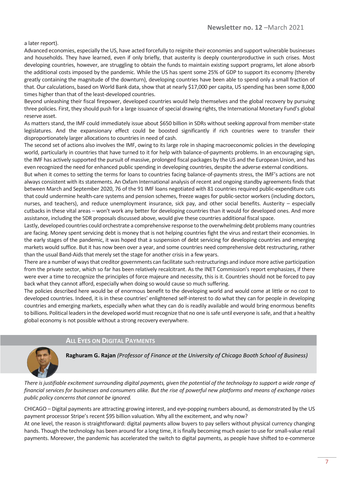a later report).

Advanced economies, especially the US, have acted forcefully to reignite their economies and support vulnerable businesses and households. They have learned, even if only briefly, that austerity is deeply counterproductive in such crises. Most developing countries, however, are struggling to obtain the funds to maintain existing support programs, let alone absorb the additional costs imposed by the pandemic. While the US has spent some 25% of GDP to support its economy (thereby greatly containing the magnitude of the downturn), developing countries have been able to spend only a small fraction of that. Our calculations, based on World Bank data, show that at nearly \$17,000 per capita, US spending has been some 8,000 times higher than that of the least-developed countries.

Beyond unleashing their fiscal firepower, developed countries would help themselves and the global recovery by pursuing three policies. First, they should push for a large issuance of special drawing rights, the International Monetary Fund's global reserve asset.

As matters stand, the IMF could immediately issue about \$650 billion in SDRs without seeking approval from member-state legislatures. And the expansionary effect could be boosted significantly if rich countries were to transfer their disproportionately larger allocations to countries in need of cash.

The second set of actions also involves the IMF, owing to its large role in shaping macroeconomic policies in the developing world, particularly in countries that have turned to it for help with balance-of-payments problems. In an encouraging sign, the IMF has actively supported the pursuit of massive, prolonged fiscal packages by the US and the European Union, and has even recognized the need for enhanced public spending in developing countries, despite the adverse external conditions.

But when it comes to setting the terms for loans to countries facing balance-of-payments stress, the IMF's actions are not always consistent with its statements. An Oxfam International analysis of recent and ongoing standby agreements finds that between March and September 2020, 76 of the 91 IMF loans negotiated with 81 countries required public-expenditure cuts that could undermine health-care systems and pension schemes, freeze wages for public-sector workers (including doctors, nurses, and teachers), and reduce unemployment insurance, sick pay, and other social benefits. Austerity – especially cutbacks in these vital areas – won't work any better for developing countries than it would for developed ones. And more assistance, including the SDR proposals discussed above, would give these countries additional fiscal space.

Lastly, developed countries could orchestrate a comprehensive response to the overwhelming debt problems many countries are facing. Money spent servicing debt is money that is not helping countries fight the virus and restart their economies. In the early stages of the pandemic, it was hoped that a suspension of debt servicing for developing countries and emerging markets would suffice. But it has now been over a year, and some countries need comprehensive debt restructuring, rather than the usual Band-Aids that merely set the stage for another crisis in a few years.

There are a number of ways that creditor governments can facilitate such restructurings and induce more active participation from the private sector, which so far has been relatively recalcitrant. As the INET Commission's report emphasizes, if there were ever a time to recognize the principles of force majeure and necessity, this is it. Countries should not be forced to pay back what they cannot afford, especially when doing so would cause so much suffering.

The policies described here would be of enormous benefit to the developing world and would come at little or no cost to developed countries. Indeed, it is in these countries' enlightened self-interest to do what they can for people in developing countries and emerging markets, especially when what they can do is readily available and would bring enormous benefits to billions. Political leaders in the developed world must recognize that no one is safe until everyone is safe, and that a healthy global economy is not possible without a strong recovery everywhere.

## **ALL EYES ON DIGITAL PAYMENTS**



**Raghuram G. Rajan** *(Professor of Finance at the University of Chicago Booth School of Business)*

*There is justifiable excitement surrounding digital payments, given the potential of the technology to support a wide range of financial services for businesses and consumers alike. But the rise of powerful new platforms and means of exchange raises public policy concerns that cannot be ignored.*

CHICAGO – Digital payments are attracting growing interest, and eye-popping numbers abound, as demonstrated by the US payment processor Stripe's recent \$95 billion valuation. Why all the excitement, and why now?

At one level, the reason is straightforward: digital payments allow buyers to pay sellers without physical currency changing hands. Though the technology has been around for a long time, it is finally becoming much easier to use for small-value retail payments. Moreover, the pandemic has accelerated the switch to digital payments, as people have shifted to e-commerce